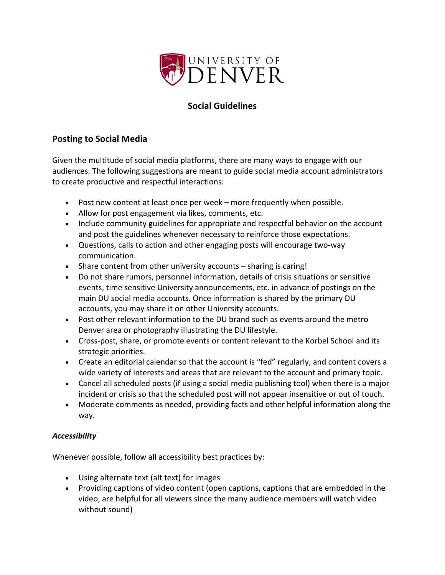

# **Social Guidelines**

## **Posting to Social Media**

Given the multitude of social media platforms, there are many ways to engage with our audiences. The following suggestions are meant to guide social media account administrators to create productive and respectful interactions:

- Post new content at least once per week more frequently when possible.
- Allow for post engagement via likes, comments, etc.
- Include community guidelines for appropriate and respectful behavior on the account and post the guidelines whenever necessary to reinforce those expectations.
- Questions, calls to action and other engaging posts will encourage two-way communication.
- Share content from other university accounts sharing is caring!
- Do not share rumors, personnel information, details of crisis situations or sensitive events, time sensitive University announcements, etc. in advance of postings on the main DU social media accounts. Once information is shared by the primary DU accounts, you may share it on other University accounts.
- Post other relevant information to the DU brand such as events around the metro Denver area or photography illustrating the DU lifestyle.
- Cross-post, share, or promote events or content relevant to the Korbel School and its strategic priorities.
- Create an editorial calendar so that the account is "fed" regularly, and content covers a wide variety of interests and areas that are relevant to the account and primary topic.
- Cancel all scheduled posts (if using a social media publishing tool) when there is a major incident or crisis so that the scheduled post will not appear insensitive or out of touch.
- Moderate comments as needed, providing facts and other helpful information along the way.

## *Accessibility*

Whenever possible, follow all accessibility best practices by:

- Using alternate text (alt text) for images
- Providing captions of video content (open captions, captions that are embedded in the video, are helpful for all viewers since the many audience members will watch video without sound)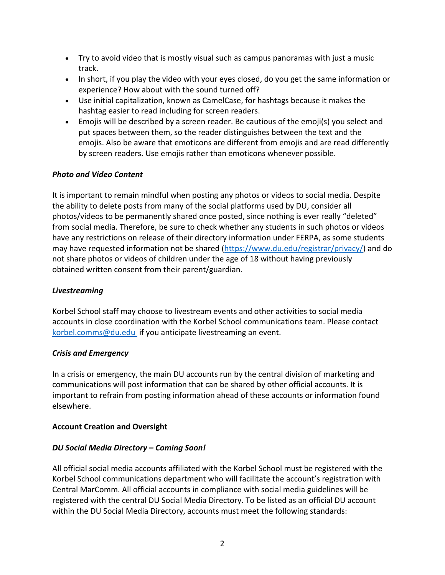- Try to avoid video that is mostly visual such as campus panoramas with just a music track.
- In short, if you play the video with your eyes closed, do you get the same information or experience? How about with the sound turned off?
- Use initial capitalization, known as CamelCase, for hashtags because it makes the hashtag easier to read including for screen readers.
- Emojis will be described by a screen reader. Be cautious of the emoji(s) you select and put spaces between them, so the reader distinguishes between the text and the emojis. Also be aware that emoticons are different from emojis and are read differently by screen readers. Use emojis rather than emoticons whenever possible.

## *Photo and Video Content*

It is important to remain mindful when posting any photos or videos to social media. Despite the ability to delete posts from many of the social platforms used by DU, consider all photos/videos to be permanently shared once posted, since nothing is ever really "deleted" from social media. Therefore, be sure to check whether any students in such photos or videos have any restrictions on release of their directory information under FERPA, as some students may have requested information not be shared (https://www.du.edu/registrar/privacy/) and do not share photos or videos of children under the age of 18 without having previously obtained written consent from their parent/guardian.

### *Livestreaming*

Korbel School staff may choose to livestream events and other activities to social media accounts in close coordination with the Korbel School communications team. Please contact korbel.comms@du.edu if you anticipate livestreaming an event.

#### *Crisis and Emergency*

In a crisis or emergency, the main DU accounts run by the central division of marketing and communications will post information that can be shared by other official accounts. It is important to refrain from posting information ahead of these accounts or information found elsewhere.

## **Account Creation and Oversight**

#### *DU Social Media Directory – Coming Soon!*

All official social media accounts affiliated with the Korbel School must be registered with the Korbel School communications department who will facilitate the account's registration with Central MarComm. All official accounts in compliance with social media guidelines will be registered with the central DU Social Media Directory. To be listed as an official DU account within the DU Social Media Directory, accounts must meet the following standards: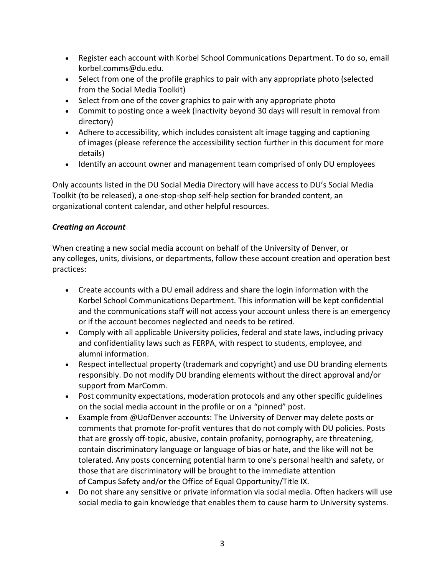- Register each account with Korbel School Communications Department. To do so, email korbel.comms@du.edu.
- Select from one of the profile graphics to pair with any appropriate photo (selected from the Social Media Toolkit)
- Select from one of the cover graphics to pair with any appropriate photo
- Commit to posting once a week (inactivity beyond 30 days will result in removal from directory)
- Adhere to accessibility, which includes consistent alt image tagging and captioning of images (please reference the accessibility section further in this document for more details)
- Identify an account owner and management team comprised of only DU employees

Only accounts listed in the DU Social Media Directory will have access to DU's Social Media Toolkit (to be released), a one-stop-shop self-help section for branded content, an organizational content calendar, and other helpful resources.

## *Creating an Account*

When creating a new social media account on behalf of the University of Denver, or any colleges, units, divisions, or departments, follow these account creation and operation best practices:

- Create accounts with a DU email address and share the login information with the Korbel School Communications Department. This information will be kept confidential and the communications staff will not access your account unless there is an emergency or if the account becomes neglected and needs to be retired.
- Comply with all applicable University policies, federal and state laws, including privacy and confidentiality laws such as FERPA, with respect to students, employee, and alumni information.
- Respect intellectual property (trademark and copyright) and use DU branding elements responsibly. Do not modify DU branding elements without the direct approval and/or support from MarComm.
- Post community expectations, moderation protocols and any other specific guidelines on the social media account in the profile or on a "pinned" post.
- Example from @UofDenver accounts: The University of Denver may delete posts or comments that promote for-profit ventures that do not comply with DU policies. Posts that are grossly off-topic, abusive, contain profanity, pornography, are threatening, contain discriminatory language or language of bias or hate, and the like will not be tolerated. Any posts concerning potential harm to one's personal health and safety, or those that are discriminatory will be brought to the immediate attention of Campus Safety and/or the Office of Equal Opportunity/Title IX.
- Do not share any sensitive or private information via social media. Often hackers will use social media to gain knowledge that enables them to cause harm to University systems.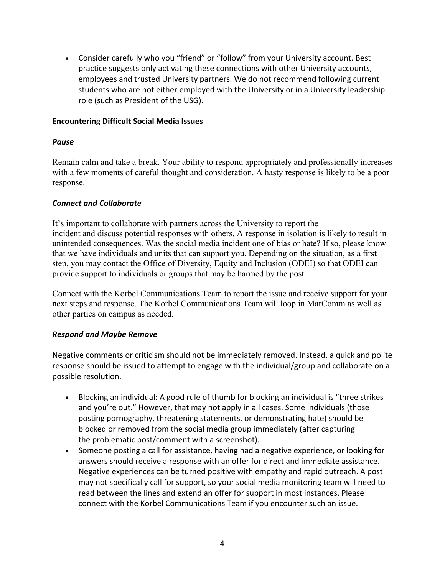• Consider carefully who you "friend" or "follow" from your University account. Best practice suggests only activating these connections with other University accounts, employees and trusted University partners. We do not recommend following current students who are not either employed with the University or in a University leadership role (such as President of the USG).

#### **Encountering Difficult Social Media Issues**

#### *Pause*

Remain calm and take a break. Your ability to respond appropriately and professionally increases with a few moments of careful thought and consideration. A hasty response is likely to be a poor response.

#### *Connect and Collaborate*

It's important to collaborate with partners across the University to report the incident and discuss potential responses with others. A response in isolation is likely to result in unintended consequences. Was the social media incident one of bias or hate? If so, please know that we have individuals and units that can support you. Depending on the situation, as a first step, you may contact the Office of Diversity, Equity and Inclusion (ODEI) so that ODEI can provide support to individuals or groups that may be harmed by the post.

Connect with the Korbel Communications Team to report the issue and receive support for your next steps and response. The Korbel Communications Team will loop in MarComm as well as other parties on campus as needed.

#### *Respond and Maybe Remove*

Negative comments or criticism should not be immediately removed. Instead, a quick and polite response should be issued to attempt to engage with the individual/group and collaborate on a possible resolution.

- Blocking an individual: A good rule of thumb for blocking an individual is "three strikes and you're out." However, that may not apply in all cases. Some individuals (those posting pornography, threatening statements, or demonstrating hate) should be blocked or removed from the social media group immediately (after capturing the problematic post/comment with a screenshot).
- Someone posting a call for assistance, having had a negative experience, or looking for answers should receive a response with an offer for direct and immediate assistance. Negative experiences can be turned positive with empathy and rapid outreach. A post may not specifically call for support, so your social media monitoring team will need to read between the lines and extend an offer for support in most instances. Please connect with the Korbel Communications Team if you encounter such an issue.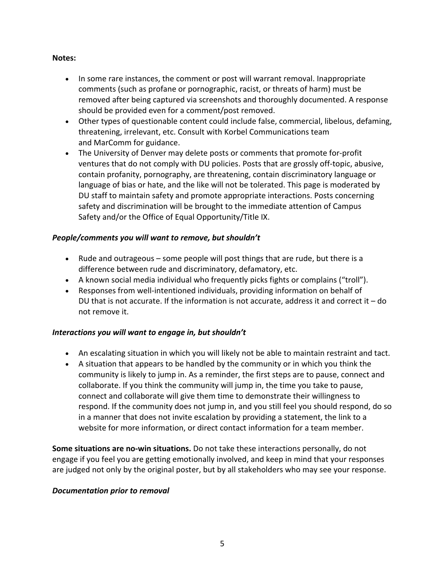#### **Notes:**

- In some rare instances, the comment or post will warrant removal. Inappropriate comments (such as profane or pornographic, racist, or threats of harm) must be removed after being captured via screenshots and thoroughly documented. A response should be provided even for a comment/post removed.
- Other types of questionable content could include false, commercial, libelous, defaming, threatening, irrelevant, etc. Consult with Korbel Communications team and MarComm for guidance.
- The University of Denver may delete posts or comments that promote for-profit ventures that do not comply with DU policies. Posts that are grossly off-topic, abusive, contain profanity, pornography, are threatening, contain discriminatory language or language of bias or hate, and the like will not be tolerated. This page is moderated by DU staff to maintain safety and promote appropriate interactions. Posts concerning safety and discrimination will be brought to the immediate attention of Campus Safety and/or the Office of Equal Opportunity/Title IX.

#### *People/comments you will want to remove, but shouldn't*

- Rude and outrageous some people will post things that are rude, but there is a difference between rude and discriminatory, defamatory, etc.
- A known social media individual who frequently picks fights or complains ("troll").
- Responses from well-intentioned individuals, providing information on behalf of DU that is not accurate. If the information is not accurate, address it and correct it  $-$  do not remove it.

#### *Interactions you will want to engage in, but shouldn't*

- An escalating situation in which you will likely not be able to maintain restraint and tact.
- A situation that appears to be handled by the community or in which you think the community is likely to jump in. As a reminder, the first steps are to pause, connect and collaborate. If you think the community will jump in, the time you take to pause, connect and collaborate will give them time to demonstrate their willingness to respond. If the community does not jump in, and you still feel you should respond, do so in a manner that does not invite escalation by providing a statement, the link to a website for more information, or direct contact information for a team member.

**Some situations are no-win situations.** Do not take these interactions personally, do not engage if you feel you are getting emotionally involved, and keep in mind that your responses are judged not only by the original poster, but by all stakeholders who may see your response.

#### *Documentation prior to removal*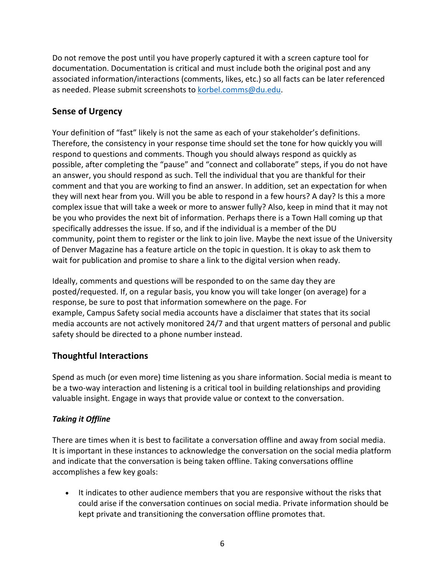Do not remove the post until you have properly captured it with a screen capture tool for documentation. Documentation is critical and must include both the original post and any associated information/interactions (comments, likes, etc.) so all facts can be later referenced as needed. Please submit screenshots to korbel.comms@du.edu.

## **Sense of Urgency**

Your definition of "fast" likely is not the same as each of your stakeholder's definitions. Therefore, the consistency in your response time should set the tone for how quickly you will respond to questions and comments. Though you should always respond as quickly as possible, after completing the "pause" and "connect and collaborate" steps, if you do not have an answer, you should respond as such. Tell the individual that you are thankful for their comment and that you are working to find an answer. In addition, set an expectation for when they will next hear from you. Will you be able to respond in a few hours? A day? Is this a more complex issue that will take a week or more to answer fully? Also, keep in mind that it may not be you who provides the next bit of information. Perhaps there is a Town Hall coming up that specifically addresses the issue. If so, and if the individual is a member of the DU community, point them to register or the link to join live. Maybe the next issue of the University of Denver Magazine has a feature article on the topic in question. It is okay to ask them to wait for publication and promise to share a link to the digital version when ready.

Ideally, comments and questions will be responded to on the same day they are posted/requested. If, on a regular basis, you know you will take longer (on average) for a response, be sure to post that information somewhere on the page. For example, Campus Safety social media accounts have a disclaimer that states that its social media accounts are not actively monitored 24/7 and that urgent matters of personal and public safety should be directed to a phone number instead.

## **Thoughtful Interactions**

Spend as much (or even more) time listening as you share information. Social media is meant to be a two-way interaction and listening is a critical tool in building relationships and providing valuable insight. Engage in ways that provide value or context to the conversation.

## *Taking it Offline*

There are times when it is best to facilitate a conversation offline and away from social media. It is important in these instances to acknowledge the conversation on the social media platform and indicate that the conversation is being taken offline. Taking conversations offline accomplishes a few key goals:

• It indicates to other audience members that you are responsive without the risks that could arise if the conversation continues on social media. Private information should be kept private and transitioning the conversation offline promotes that.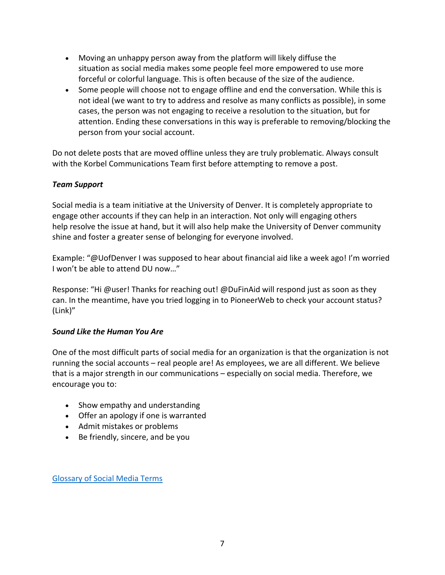- Moving an unhappy person away from the platform will likely diffuse the situation as social media makes some people feel more empowered to use more forceful or colorful language. This is often because of the size of the audience.
- Some people will choose not to engage offline and end the conversation. While this is not ideal (we want to try to address and resolve as many conflicts as possible), in some cases, the person was not engaging to receive a resolution to the situation, but for attention. Ending these conversations in this way is preferable to removing/blocking the person from your social account.

Do not delete posts that are moved offline unless they are truly problematic. Always consult with the Korbel Communications Team first before attempting to remove a post.

#### *Team Support*

Social media is a team initiative at the University of Denver. It is completely appropriate to engage other accounts if they can help in an interaction. Not only will engaging others help resolve the issue at hand, but it will also help make the University of Denver community shine and foster a greater sense of belonging for everyone involved.

Example: "@UofDenver I was supposed to hear about financial aid like a week ago! I'm worried I won't be able to attend DU now…"

Response: "Hi @user! Thanks for reaching out! @DuFinAid will respond just as soon as they can. In the meantime, have you tried logging in to PioneerWeb to check your account status? (Link)"

#### *Sound Like the Human You Are*

One of the most difficult parts of social media for an organization is that the organization is not running the social accounts – real people are! As employees, we are all different. We believe that is a major strength in our communications – especially on social media. Therefore, we encourage you to:

- Show empathy and understanding
- Offer an apology if one is warranted
- Admit mistakes or problems
- Be friendly, sincere, and be you

Glossary of Social Media Terms